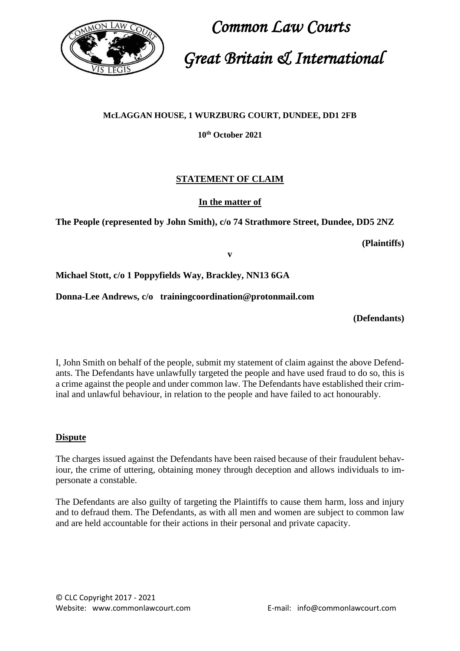

## **McLAGGAN HOUSE, 1 WURZBURG COURT, DUNDEE, DD1 2FB**

# **10th October 2021**

# **STATEMENT OF CLAIM**

## **In the matter of**

**The People (represented by John Smith), c/o 74 Strathmore Street, Dundee, DD5 2NZ**

#### **(Plaintiffs)**

**v** 

**Michael Stott, c/o 1 Poppyfields Way, Brackley, NN13 6GA**

**Donna-Lee Andrews, c/o trainingcoordination@protonmail.com**

**(Defendants)**

I, John Smith on behalf of the people, submit my statement of claim against the above Defendants. The Defendants have unlawfully targeted the people and have used fraud to do so, this is a crime against the people and under common law. The Defendants have established their criminal and unlawful behaviour, in relation to the people and have failed to act honourably.

#### **Dispute**

The charges issued against the Defendants have been raised because of their fraudulent behaviour, the crime of uttering, obtaining money through deception and allows individuals to impersonate a constable.

The Defendants are also guilty of targeting the Plaintiffs to cause them harm, loss and injury and to defraud them. The Defendants, as with all men and women are subject to common law and are held accountable for their actions in their personal and private capacity.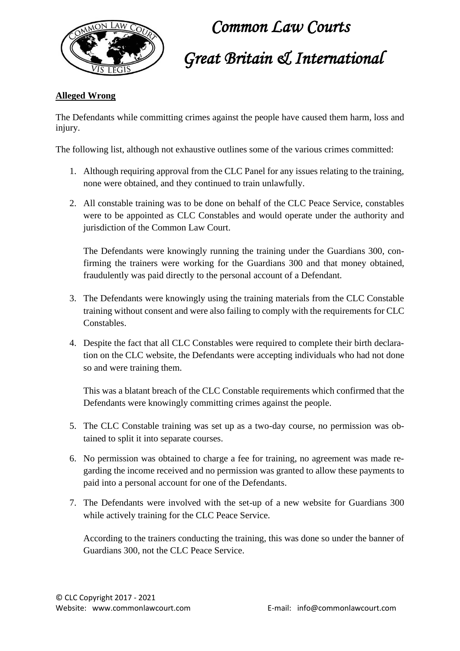

## **Alleged Wrong**

The Defendants while committing crimes against the people have caused them harm, loss and injury.

The following list, although not exhaustive outlines some of the various crimes committed:

- 1. Although requiring approval from the CLC Panel for any issues relating to the training, none were obtained, and they continued to train unlawfully.
- 2. All constable training was to be done on behalf of the CLC Peace Service, constables were to be appointed as CLC Constables and would operate under the authority and jurisdiction of the Common Law Court.

The Defendants were knowingly running the training under the Guardians 300, confirming the trainers were working for the Guardians 300 and that money obtained, fraudulently was paid directly to the personal account of a Defendant.

- 3. The Defendants were knowingly using the training materials from the CLC Constable training without consent and were also failing to comply with the requirements for CLC Constables.
- 4. Despite the fact that all CLC Constables were required to complete their birth declaration on the CLC website, the Defendants were accepting individuals who had not done so and were training them.

This was a blatant breach of the CLC Constable requirements which confirmed that the Defendants were knowingly committing crimes against the people.

- 5. The CLC Constable training was set up as a two-day course, no permission was obtained to split it into separate courses.
- 6. No permission was obtained to charge a fee for training, no agreement was made regarding the income received and no permission was granted to allow these payments to paid into a personal account for one of the Defendants.
- 7. The Defendants were involved with the set-up of a new website for Guardians 300 while actively training for the CLC Peace Service.

According to the trainers conducting the training, this was done so under the banner of Guardians 300, not the CLC Peace Service.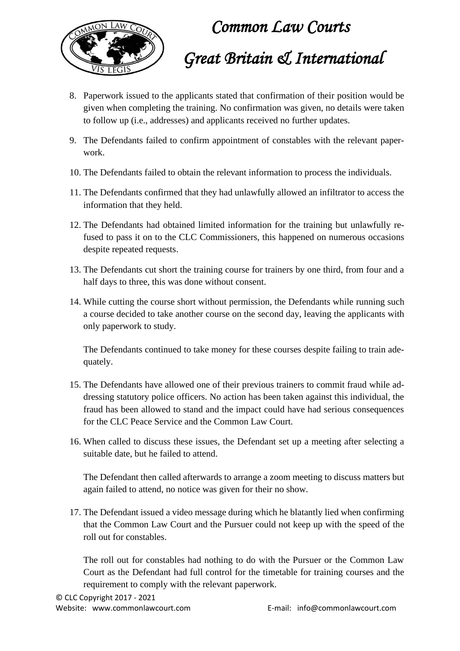

- 8. Paperwork issued to the applicants stated that confirmation of their position would be given when completing the training. No confirmation was given, no details were taken to follow up (i.e., addresses) and applicants received no further updates.
- 9. The Defendants failed to confirm appointment of constables with the relevant paperwork.
- 10. The Defendants failed to obtain the relevant information to process the individuals.
- 11. The Defendants confirmed that they had unlawfully allowed an infiltrator to access the information that they held.
- 12. The Defendants had obtained limited information for the training but unlawfully refused to pass it on to the CLC Commissioners, this happened on numerous occasions despite repeated requests.
- 13. The Defendants cut short the training course for trainers by one third, from four and a half days to three, this was done without consent.
- 14. While cutting the course short without permission, the Defendants while running such a course decided to take another course on the second day, leaving the applicants with only paperwork to study.

The Defendants continued to take money for these courses despite failing to train adequately.

- 15. The Defendants have allowed one of their previous trainers to commit fraud while addressing statutory police officers. No action has been taken against this individual, the fraud has been allowed to stand and the impact could have had serious consequences for the CLC Peace Service and the Common Law Court.
- 16. When called to discuss these issues, the Defendant set up a meeting after selecting a suitable date, but he failed to attend.

The Defendant then called afterwards to arrange a zoom meeting to discuss matters but again failed to attend, no notice was given for their no show.

17. The Defendant issued a video message during which he blatantly lied when confirming that the Common Law Court and the Pursuer could not keep up with the speed of the roll out for constables.

The roll out for constables had nothing to do with the Pursuer or the Common Law Court as the Defendant had full control for the timetable for training courses and the requirement to comply with the relevant paperwork.